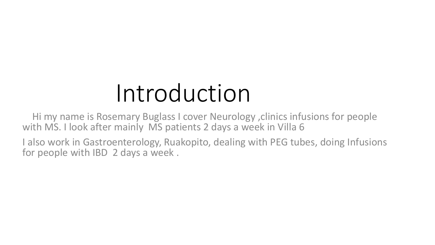# Introduction

Hi my name is Rosemary Buglass I cover Neurology ,clinics infusions for people with MS. I look after mainly MS patients 2 days a week in Villa 6

I also work in Gastroenterology, Ruakopito, dealing with PEG tubes, doing Infusions for people with IBD 2 days a week .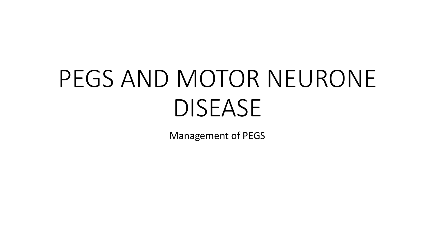# PEGS AND MOTOR NEURONE DISEASE

Management of PEGS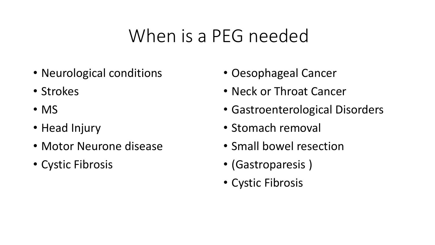### When is a PEG needed

- Neurological conditions
- Strokes
- MS
- Head Injury
- Motor Neurone disease
- Cystic Fibrosis
- Oesophageal Cancer
- Neck or Throat Cancer
- Gastroenterological Disorders
- Stomach removal
- Small bowel resection
- (Gastroparesis )
- Cystic Fibrosis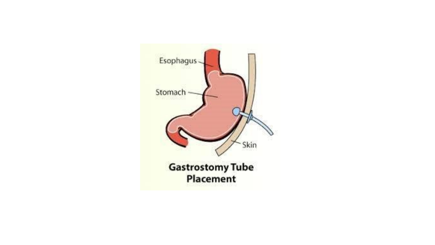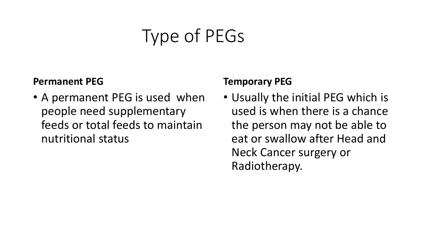## Type of PEGs

#### **Permanent PEG**

• A permanent PEG is used when people need supplementary feeds or total feeds to maintain nutritional status

#### **Temporary PEG**

• Usually the initial PEG which is used is when there is a chance the person may not be able to eat or swallow after Head and Neck Cancer surgery or Radiotherapy.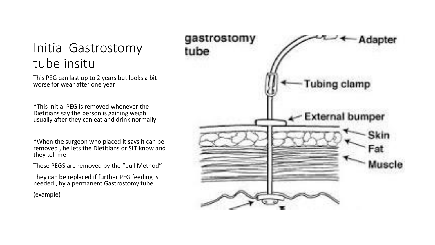### Initial Gastrostomy tube insitu

This PEG can last up to 2 years but looks a bit worse for wear after one year

\*This initial PEG is removed whenever the Dietitians say the person is gaining weigh usually after they can eat and drink normally

\*When the surgeon who placed it says it can be removed , he lets the Dietitians or SLT know and they tell me

These PEGS are removed by the "pull Method"

They can be replaced if further PEG feeding is needed , by a permanent Gastrostomy tube (example)

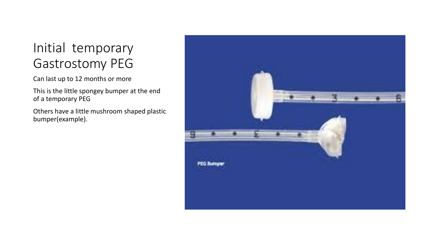### Initial temporary Gastrostomy PEG

Can last up to 12 months or more

This is the little spongey bumper at the end of a temporary PEG

Others have a little mushroom shaped plastic bumper(example).

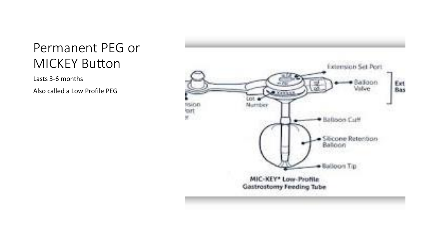### Permanent PEG or MICKEY Button

Lasts 3-6 months

Also called a Low Profile PEG

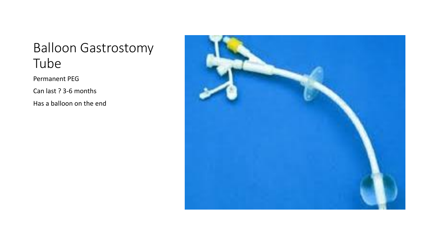### Balloon Gastrostomy Tube

Permanent PEG

Can last ? 3-6 months

Has a balloon on the end

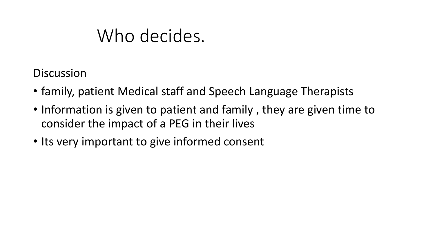### Who decides.

**Discussion** 

- family, patient Medical staff and Speech Language Therapists
- Information is given to patient and family, they are given time to consider the impact of a PEG in their lives
- Its very important to give informed consent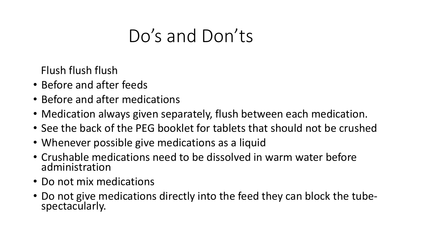### Do's and Don'ts

Flush flush flush

- Before and after feeds
- Before and after medications
- Medication always given separately, flush between each medication.
- See the back of the PEG booklet for tablets that should not be crushed
- Whenever possible give medications as a liquid
- Crushable medications need to be dissolved in warm water before administration
- Do not mix medications
- Do not give medications directly into the feed they can block the tubespectacularly.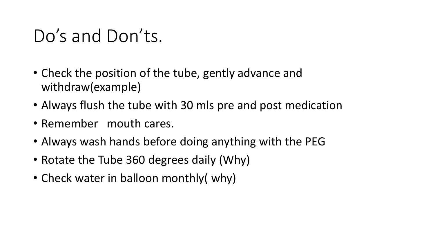### Do's and Don'ts.

- Check the position of the tube, gently advance and withdraw(example)
- Always flush the tube with 30 mls pre and post medication
- Remember mouth cares.
- Always wash hands before doing anything with the PEG
- Rotate the Tube 360 degrees daily (Why)
- Check water in balloon monthly( why)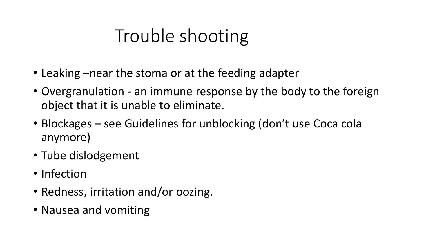## Trouble shooting

- Leaking –near the stoma or at the feeding adapter
- Overgranulation an immune response by the body to the foreign object that it is unable to eliminate.
- Blockages see Guidelines for unblocking (don't use Coca cola anymore)
- Tube dislodgement
- Infection
- Redness, irritation and/or oozing.
- Nausea and vomiting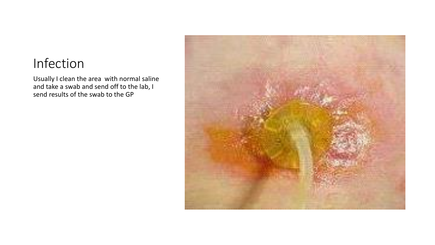#### Infection

Usually I clean the area with normal saline and take a swab and send off to the lab, I send results of the swab to the GP

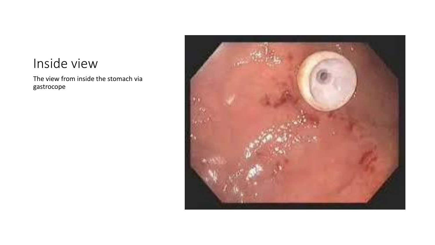#### Inside view

The view from inside the stomach via gastrocope